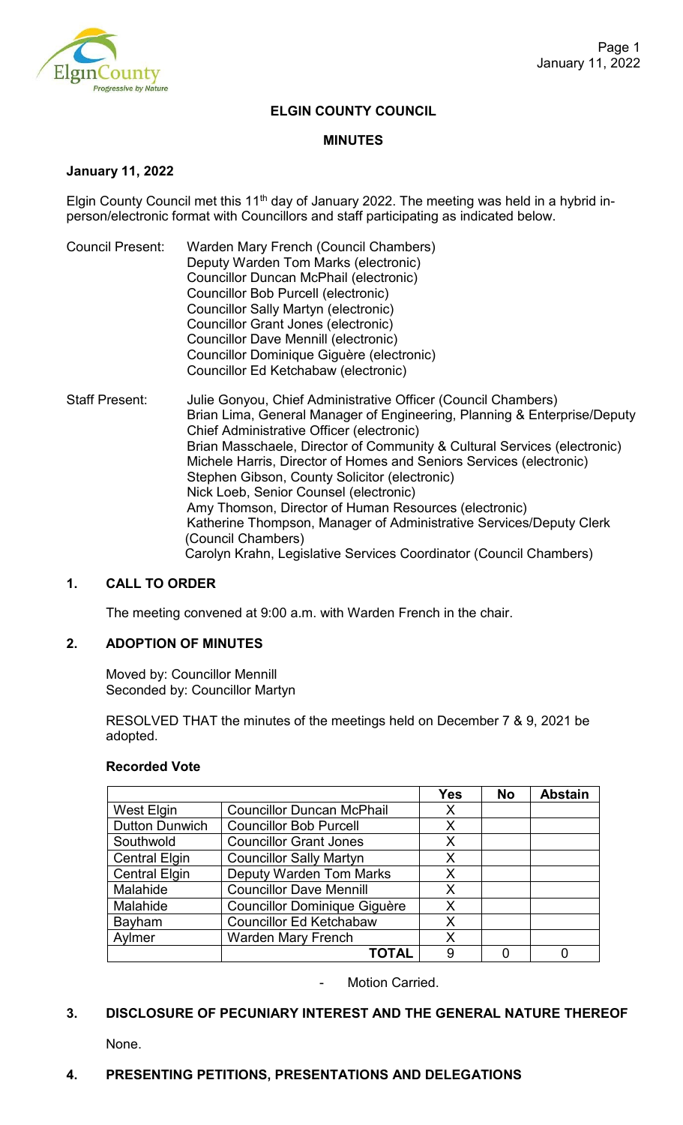

# **ELGIN COUNTY COUNCIL**

#### **MINUTES**

## **January 11, 2022**

Elgin County Council met this 11<sup>th</sup> day of January 2022. The meeting was held in a hybrid inperson/electronic format with Councillors and staff participating as indicated below.

- Council Present: Warden Mary French (Council Chambers) Deputy Warden Tom Marks (electronic) Councillor Duncan McPhail (electronic) Councillor Bob Purcell (electronic) Councillor Sally Martyn (electronic) Councillor Grant Jones (electronic) Councillor Dave Mennill (electronic) Councillor Dominique Giguère (electronic) Councillor Ed Ketchabaw (electronic)
- Staff Present: Julie Gonyou, Chief Administrative Officer (Council Chambers) Brian Lima, General Manager of Engineering, Planning & Enterprise/Deputy Chief Administrative Officer (electronic) Brian Masschaele, Director of Community & Cultural Services (electronic) Michele Harris, Director of Homes and Seniors Services (electronic) Stephen Gibson, County Solicitor (electronic) Nick Loeb, Senior Counsel (electronic) Amy Thomson, Director of Human Resources (electronic) Katherine Thompson, Manager of Administrative Services/Deputy Clerk (Council Chambers) Carolyn Krahn, Legislative Services Coordinator (Council Chambers)

# **1. CALL TO ORDER**

The meeting convened at 9:00 a.m. with Warden French in the chair.

# **2. ADOPTION OF MINUTES**

Moved by: Councillor Mennill Seconded by: Councillor Martyn

RESOLVED THAT the minutes of the meetings held on December 7 & 9, 2021 be adopted.

#### **Recorded Vote**

|                       |                                     | <b>Yes</b> | <b>No</b> | <b>Abstain</b> |
|-----------------------|-------------------------------------|------------|-----------|----------------|
| West Elgin            | <b>Councillor Duncan McPhail</b>    | Х          |           |                |
| <b>Dutton Dunwich</b> | <b>Councillor Bob Purcell</b>       | X          |           |                |
| Southwold             | <b>Councillor Grant Jones</b>       | Χ          |           |                |
| <b>Central Elgin</b>  | <b>Councillor Sally Martyn</b>      | Χ          |           |                |
| <b>Central Elgin</b>  | <b>Deputy Warden Tom Marks</b>      | Χ          |           |                |
| Malahide              | <b>Councillor Dave Mennill</b>      | Χ          |           |                |
| Malahide              | <b>Councillor Dominique Giguère</b> | Χ          |           |                |
| Bayham                | <b>Councillor Ed Ketchabaw</b>      | X          |           |                |
| Aylmer                | <b>Warden Mary French</b>           | Χ          |           |                |
|                       | TOTAL                               | 9          |           |                |

Motion Carried.

# **3. DISCLOSURE OF PECUNIARY INTEREST AND THE GENERAL NATURE THEREOF**

None.

# **4. PRESENTING PETITIONS, PRESENTATIONS AND DELEGATIONS**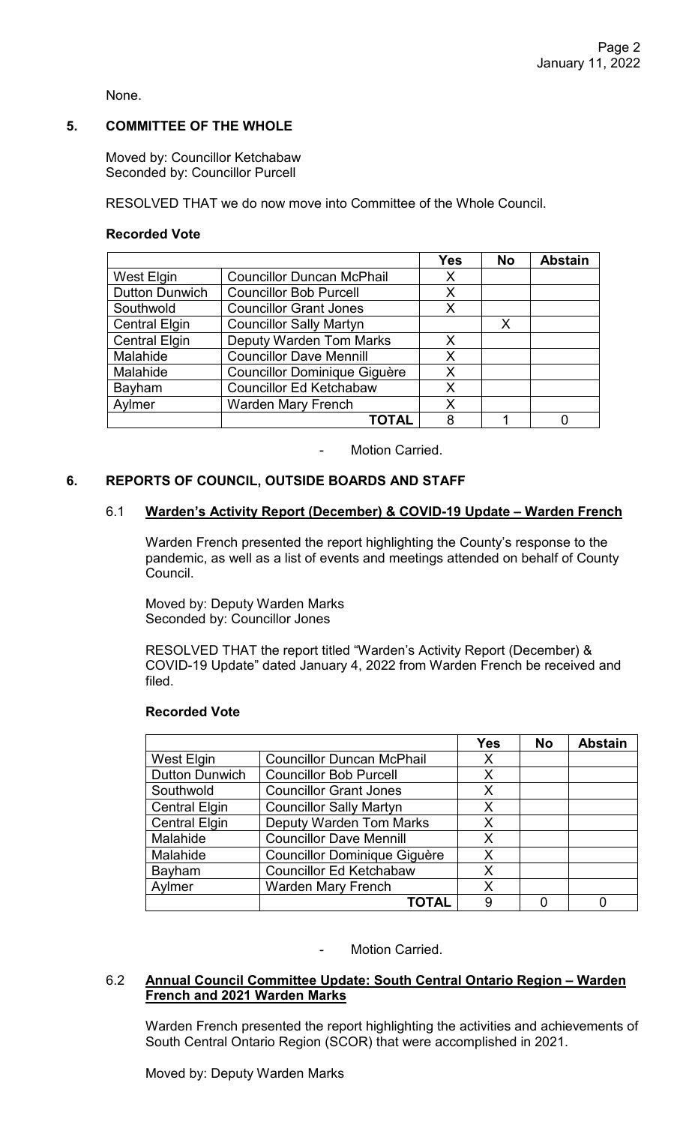None.

# **5. COMMITTEE OF THE WHOLE**

Moved by: Councillor Ketchabaw Seconded by: Councillor Purcell

RESOLVED THAT we do now move into Committee of the Whole Council.

# **Recorded Vote**

|                       |                                     | Yes | <b>No</b> | <b>Abstain</b> |
|-----------------------|-------------------------------------|-----|-----------|----------------|
| West Elgin            | <b>Councillor Duncan McPhail</b>    | X   |           |                |
| <b>Dutton Dunwich</b> | <b>Councillor Bob Purcell</b>       | X   |           |                |
| Southwold             | <b>Councillor Grant Jones</b>       | X   |           |                |
| <b>Central Elgin</b>  | <b>Councillor Sally Martyn</b>      |     | X         |                |
| <b>Central Elgin</b>  | <b>Deputy Warden Tom Marks</b>      | X   |           |                |
| Malahide              | <b>Councillor Dave Mennill</b>      | X   |           |                |
| Malahide              | <b>Councillor Dominique Giguère</b> | X   |           |                |
| Bayham                | <b>Councillor Ed Ketchabaw</b>      | X   |           |                |
| Aylmer                | <b>Warden Mary French</b>           | Χ   |           |                |
|                       | <b>TOTAL</b>                        | 8   |           |                |

Motion Carried.

## **6. REPORTS OF COUNCIL, OUTSIDE BOARDS AND STAFF**

#### 6.1 **Warden's Activity Report (December) & COVID-19 Update – Warden French**

Warden French presented the report highlighting the County's response to the pandemic, as well as a list of events and meetings attended on behalf of County Council.

Moved by: Deputy Warden Marks Seconded by: Councillor Jones

RESOLVED THAT the report titled "Warden's Activity Report (December) & COVID-19 Update" dated January 4, 2022 from Warden French be received and filed.

#### **Recorded Vote**

|                       |                                     | <b>Yes</b> | <b>No</b> | <b>Abstain</b> |
|-----------------------|-------------------------------------|------------|-----------|----------------|
| West Elgin            | <b>Councillor Duncan McPhail</b>    | X          |           |                |
| <b>Dutton Dunwich</b> | <b>Councillor Bob Purcell</b>       | X          |           |                |
| Southwold             | <b>Councillor Grant Jones</b>       | X          |           |                |
| <b>Central Elgin</b>  | <b>Councillor Sally Martyn</b>      | X          |           |                |
| <b>Central Elgin</b>  | <b>Deputy Warden Tom Marks</b>      | X          |           |                |
| Malahide              | <b>Councillor Dave Mennill</b>      | X          |           |                |
| Malahide              | <b>Councillor Dominique Giguère</b> | X          |           |                |
| Bayham                | <b>Councillor Ed Ketchabaw</b>      | X          |           |                |
| Aylmer                | <b>Warden Mary French</b>           | Χ          |           |                |
|                       | TOTAL                               | 9          |           |                |

#### Motion Carried.

## 6.2 **Annual Council Committee Update: South Central Ontario Region – Warden French and 2021 Warden Marks**

Warden French presented the report highlighting the activities and achievements of South Central Ontario Region (SCOR) that were accomplished in 2021.

Moved by: Deputy Warden Marks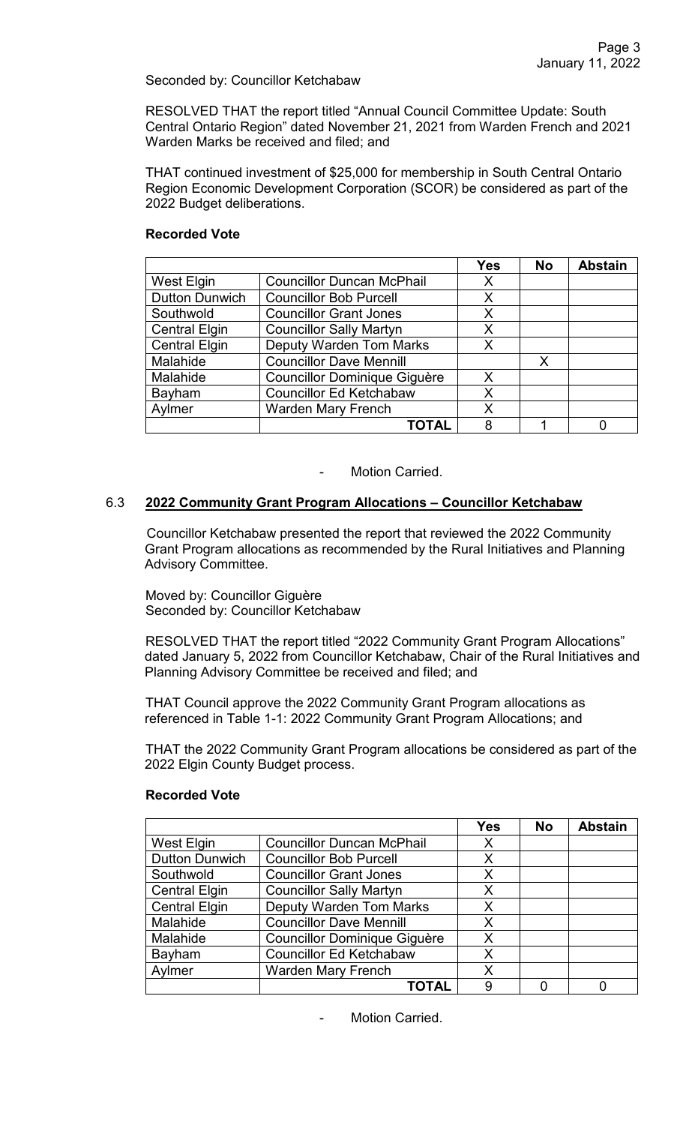## Seconded by: Councillor Ketchabaw

RESOLVED THAT the report titled "Annual Council Committee Update: South Central Ontario Region" dated November 21, 2021 from Warden French and 2021 Warden Marks be received and filed; and

THAT continued investment of \$25,000 for membership in South Central Ontario Region Economic Development Corporation (SCOR) be considered as part of the 2022 Budget deliberations.

## **Recorded Vote**

|                       |                                     | <b>Yes</b> | <b>No</b> | <b>Abstain</b> |
|-----------------------|-------------------------------------|------------|-----------|----------------|
| West Elgin            | <b>Councillor Duncan McPhail</b>    | Х          |           |                |
| <b>Dutton Dunwich</b> | <b>Councillor Bob Purcell</b>       | Χ          |           |                |
| Southwold             | <b>Councillor Grant Jones</b>       | Χ          |           |                |
| <b>Central Elgin</b>  | <b>Councillor Sally Martyn</b>      | Χ          |           |                |
| <b>Central Elgin</b>  | <b>Deputy Warden Tom Marks</b>      | Χ          |           |                |
| Malahide              | <b>Councillor Dave Mennill</b>      |            | X         |                |
| Malahide              | <b>Councillor Dominique Giguère</b> | X          |           |                |
| Bayham                | <b>Councillor Ed Ketchabaw</b>      | Χ          |           |                |
| Aylmer                | <b>Warden Mary French</b>           | Χ          |           |                |
|                       | ΓΟΤΑL                               | 8          |           |                |

Motion Carried.

## 6.3 **2022 Community Grant Program Allocations – Councillor Ketchabaw**

Councillor Ketchabaw presented the report that reviewed the 2022 Community Grant Program allocations as recommended by the Rural Initiatives and Planning Advisory Committee.

Moved by: Councillor Giguère Seconded by: Councillor Ketchabaw

RESOLVED THAT the report titled "2022 Community Grant Program Allocations" dated January 5, 2022 from Councillor Ketchabaw, Chair of the Rural Initiatives and Planning Advisory Committee be received and filed; and

THAT Council approve the 2022 Community Grant Program allocations as referenced in Table 1-1: 2022 Community Grant Program Allocations; and

THAT the 2022 Community Grant Program allocations be considered as part of the 2022 Elgin County Budget process.

|                       |                                     | <b>Yes</b> | <b>No</b> | <b>Abstain</b> |
|-----------------------|-------------------------------------|------------|-----------|----------------|
| West Elgin            | <b>Councillor Duncan McPhail</b>    | X          |           |                |
| <b>Dutton Dunwich</b> | <b>Councillor Bob Purcell</b>       | X          |           |                |
| Southwold             | <b>Councillor Grant Jones</b>       | X          |           |                |
| <b>Central Elgin</b>  | <b>Councillor Sally Martyn</b>      | X          |           |                |
| <b>Central Elgin</b>  | <b>Deputy Warden Tom Marks</b>      | X          |           |                |
| Malahide              | <b>Councillor Dave Mennill</b>      | X          |           |                |
| Malahide              | <b>Councillor Dominique Giguère</b> | X          |           |                |
| Bayham                | <b>Councillor Ed Ketchabaw</b>      | X          |           |                |
| Aylmer                | <b>Warden Mary French</b>           | X          |           |                |
|                       | TOTAL                               | 9          |           |                |

#### **Recorded Vote**

Motion Carried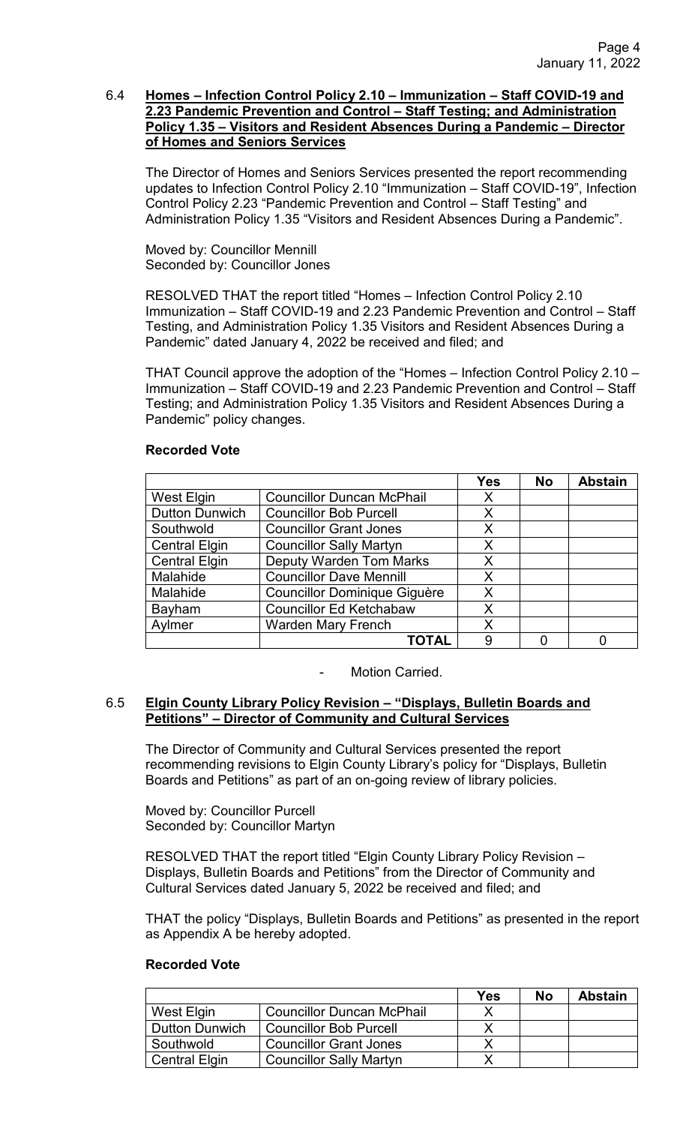## 6.4 **Homes – Infection Control Policy 2.10 – Immunization – Staff COVID-19 and 2.23 Pandemic Prevention and Control – Staff Testing; and Administration Policy 1.35 – Visitors and Resident Absences During a Pandemic – Director of Homes and Seniors Services**

The Director of Homes and Seniors Services presented the report recommending updates to Infection Control Policy 2.10 "Immunization – Staff COVID-19", Infection Control Policy 2.23 "Pandemic Prevention and Control – Staff Testing" and Administration Policy 1.35 "Visitors and Resident Absences During a Pandemic".

Moved by: Councillor Mennill Seconded by: Councillor Jones

RESOLVED THAT the report titled "Homes – Infection Control Policy 2.10 Immunization – Staff COVID-19 and 2.23 Pandemic Prevention and Control – Staff Testing, and Administration Policy 1.35 Visitors and Resident Absences During a Pandemic" dated January 4, 2022 be received and filed; and

THAT Council approve the adoption of the "Homes – Infection Control Policy 2.10 – Immunization – Staff COVID-19 and 2.23 Pandemic Prevention and Control – Staff Testing; and Administration Policy 1.35 Visitors and Resident Absences During a Pandemic" policy changes.

# **Recorded Vote**

|                       |                                     | <b>Yes</b> | <b>No</b> | <b>Abstain</b> |
|-----------------------|-------------------------------------|------------|-----------|----------------|
| West Elgin            | <b>Councillor Duncan McPhail</b>    | X          |           |                |
| <b>Dutton Dunwich</b> | <b>Councillor Bob Purcell</b>       | X          |           |                |
| Southwold             | <b>Councillor Grant Jones</b>       | X          |           |                |
| <b>Central Elgin</b>  | <b>Councillor Sally Martyn</b>      | X          |           |                |
| <b>Central Elgin</b>  | <b>Deputy Warden Tom Marks</b>      | X          |           |                |
| Malahide              | <b>Councillor Dave Mennill</b>      | X          |           |                |
| Malahide              | <b>Councillor Dominique Giguère</b> | X          |           |                |
| <b>Bayham</b>         | <b>Councillor Ed Ketchabaw</b>      | X          |           |                |
| Aylmer                | <b>Warden Mary French</b>           | X          |           |                |
|                       | TOTAL                               | 9          |           |                |

Motion Carried.

# 6.5 **Elgin County Library Policy Revision – "Displays, Bulletin Boards and Petitions" – Director of Community and Cultural Services**

The Director of Community and Cultural Services presented the report recommending revisions to Elgin County Library's policy for "Displays, Bulletin Boards and Petitions" as part of an on-going review of library policies.

Moved by: Councillor Purcell Seconded by: Councillor Martyn

RESOLVED THAT the report titled "Elgin County Library Policy Revision – Displays, Bulletin Boards and Petitions" from the Director of Community and Cultural Services dated January 5, 2022 be received and filed; and

THAT the policy "Displays, Bulletin Boards and Petitions" as presented in the report as Appendix A be hereby adopted.

|                       |                                  | Yes | No | <b>Abstain</b> |
|-----------------------|----------------------------------|-----|----|----------------|
| West Elgin            | <b>Councillor Duncan McPhail</b> |     |    |                |
| <b>Dutton Dunwich</b> | <b>Councillor Bob Purcell</b>    |     |    |                |
| Southwold             | <b>Councillor Grant Jones</b>    |     |    |                |
| <b>Central Elgin</b>  | <b>Councillor Sally Martyn</b>   |     |    |                |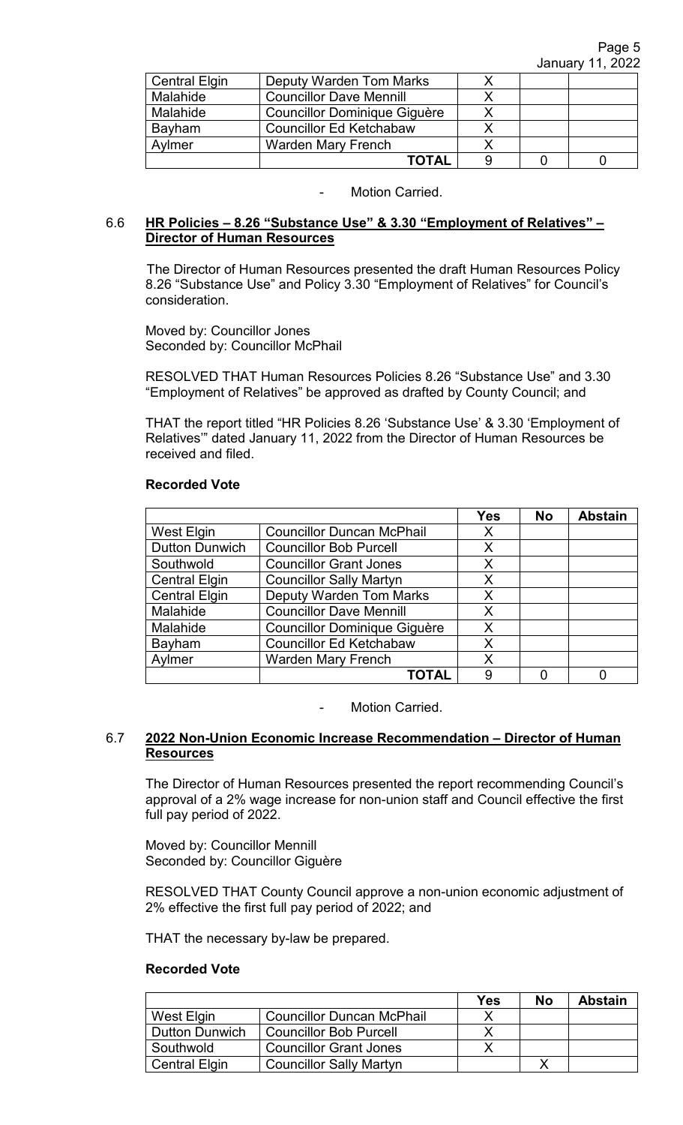| <b>Central Elgin</b> | <b>Deputy Warden Tom Marks</b>      |  |  |
|----------------------|-------------------------------------|--|--|
| Malahide             | <b>Councillor Dave Mennill</b>      |  |  |
| Malahide             | <b>Councillor Dominique Giguère</b> |  |  |
| Bayham               | <b>Councillor Ed Ketchabaw</b>      |  |  |
| Aylmer               | <b>Warden Mary French</b>           |  |  |
|                      | <b>TOTAL</b>                        |  |  |

# 6.6 **HR Policies – 8.26 "Substance Use" & 3.30 "Employment of Relatives" – Director of Human Resources**

The Director of Human Resources presented the draft Human Resources Policy 8.26 "Substance Use" and Policy 3.30 "Employment of Relatives" for Council's consideration.

Moved by: Councillor Jones Seconded by: Councillor McPhail

RESOLVED THAT Human Resources Policies 8.26 "Substance Use" and 3.30 "Employment of Relatives" be approved as drafted by County Council; and

THAT the report titled "HR Policies 8.26 'Substance Use' & 3.30 'Employment of Relatives'" dated January 11, 2022 from the Director of Human Resources be received and filed.

## **Recorded Vote**

|                       |                                     | <b>Yes</b> | <b>No</b> | <b>Abstain</b> |
|-----------------------|-------------------------------------|------------|-----------|----------------|
| West Elgin            | <b>Councillor Duncan McPhail</b>    | X          |           |                |
| <b>Dutton Dunwich</b> | <b>Councillor Bob Purcell</b>       | X          |           |                |
| Southwold             | <b>Councillor Grant Jones</b>       | X          |           |                |
| <b>Central Elgin</b>  | <b>Councillor Sally Martyn</b>      | X          |           |                |
| <b>Central Elgin</b>  | <b>Deputy Warden Tom Marks</b>      | Χ          |           |                |
| Malahide              | <b>Councillor Dave Mennill</b>      | X          |           |                |
| Malahide              | <b>Councillor Dominique Giguère</b> | Χ          |           |                |
| Bayham                | <b>Councillor Ed Ketchabaw</b>      | X          |           |                |
| Aylmer                | <b>Warden Mary French</b>           | X          |           |                |
|                       | <b>COTAL</b>                        | 9          |           |                |

Motion Carried.

# 6.7 **2022 Non-Union Economic Increase Recommendation – Director of Human Resources**

The Director of Human Resources presented the report recommending Council's approval of a 2% wage increase for non-union staff and Council effective the first full pay period of 2022.

Moved by: Councillor Mennill Seconded by: Councillor Giguère

RESOLVED THAT County Council approve a non-union economic adjustment of 2% effective the first full pay period of 2022; and

THAT the necessary by-law be prepared.

|                       |                                  | Yes | No | <b>Abstain</b> |
|-----------------------|----------------------------------|-----|----|----------------|
| West Elgin            | <b>Councillor Duncan McPhail</b> |     |    |                |
| <b>Dutton Dunwich</b> | <b>Councillor Bob Purcell</b>    |     |    |                |
| Southwold             | <b>Councillor Grant Jones</b>    |     |    |                |
| <b>Central Elgin</b>  | <b>Councillor Sally Martyn</b>   |     |    |                |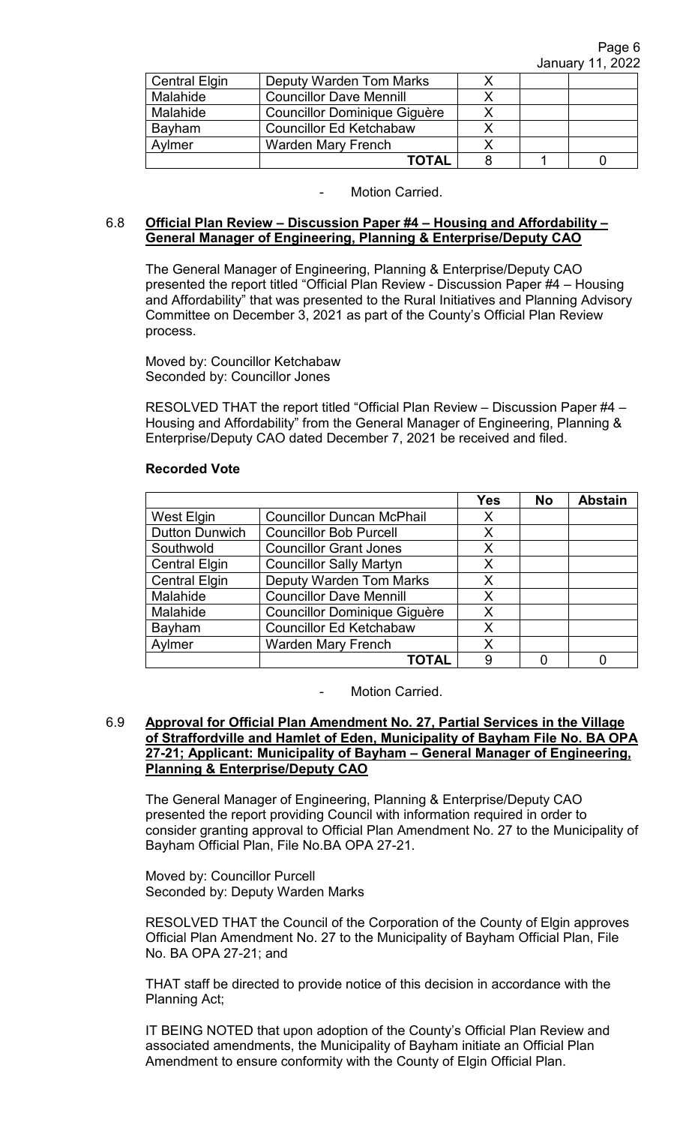| <b>Central Elgin</b> | Deputy Warden Tom Marks        |  |  |
|----------------------|--------------------------------|--|--|
| Malahide             | <b>Councillor Dave Mennill</b> |  |  |
| Malahide             | Councillor Dominique Giguère   |  |  |
| Bayham               | <b>Councillor Ed Ketchabaw</b> |  |  |
| Avlmer               | <b>Warden Mary French</b>      |  |  |
|                      | <b>TOTAL</b>                   |  |  |

## 6.8 **Official Plan Review – Discussion Paper #4 – Housing and Affordability – General Manager of Engineering, Planning & Enterprise/Deputy CAO**

The General Manager of Engineering, Planning & Enterprise/Deputy CAO presented the report titled "Official Plan Review - Discussion Paper #4 – Housing and Affordability" that was presented to the Rural Initiatives and Planning Advisory Committee on December 3, 2021 as part of the County's Official Plan Review process.

Moved by: Councillor Ketchabaw Seconded by: Councillor Jones

RESOLVED THAT the report titled "Official Plan Review – Discussion Paper #4 – Housing and Affordability" from the General Manager of Engineering, Planning & Enterprise/Deputy CAO dated December 7, 2021 be received and filed.

# **Recorded Vote**

|                       |                                     | <b>Yes</b> | <b>No</b> | <b>Abstain</b> |
|-----------------------|-------------------------------------|------------|-----------|----------------|
| West Elgin            | <b>Councillor Duncan McPhail</b>    | Х          |           |                |
| <b>Dutton Dunwich</b> | <b>Councillor Bob Purcell</b>       | X          |           |                |
| Southwold             | <b>Councillor Grant Jones</b>       | Χ          |           |                |
| <b>Central Elgin</b>  | <b>Councillor Sally Martyn</b>      | X          |           |                |
| <b>Central Elgin</b>  | <b>Deputy Warden Tom Marks</b>      | X          |           |                |
| Malahide              | <b>Councillor Dave Mennill</b>      | Χ          |           |                |
| Malahide              | <b>Councillor Dominique Giguère</b> | X          |           |                |
| Bayham                | <b>Councillor Ed Ketchabaw</b>      | X          |           |                |
| Aylmer                | <b>Warden Mary French</b>           | Χ          |           |                |
|                       | ΤΟΤΑL                               | 9          |           |                |

Motion Carried.

## 6.9 **Approval for Official Plan Amendment No. 27, Partial Services in the Village of Straffordville and Hamlet of Eden, Municipality of Bayham File No. BA OPA 27-21; Applicant: Municipality of Bayham – General Manager of Engineering, Planning & Enterprise/Deputy CAO**

The General Manager of Engineering, Planning & Enterprise/Deputy CAO presented the report providing Council with information required in order to consider granting approval to Official Plan Amendment No. 27 to the Municipality of Bayham Official Plan, File No.BA OPA 27-21.

Moved by: Councillor Purcell Seconded by: Deputy Warden Marks

RESOLVED THAT the Council of the Corporation of the County of Elgin approves Official Plan Amendment No. 27 to the Municipality of Bayham Official Plan, File No. BA OPA 27-21; and

THAT staff be directed to provide notice of this decision in accordance with the Planning Act;

IT BEING NOTED that upon adoption of the County's Official Plan Review and associated amendments, the Municipality of Bayham initiate an Official Plan Amendment to ensure conformity with the County of Elgin Official Plan.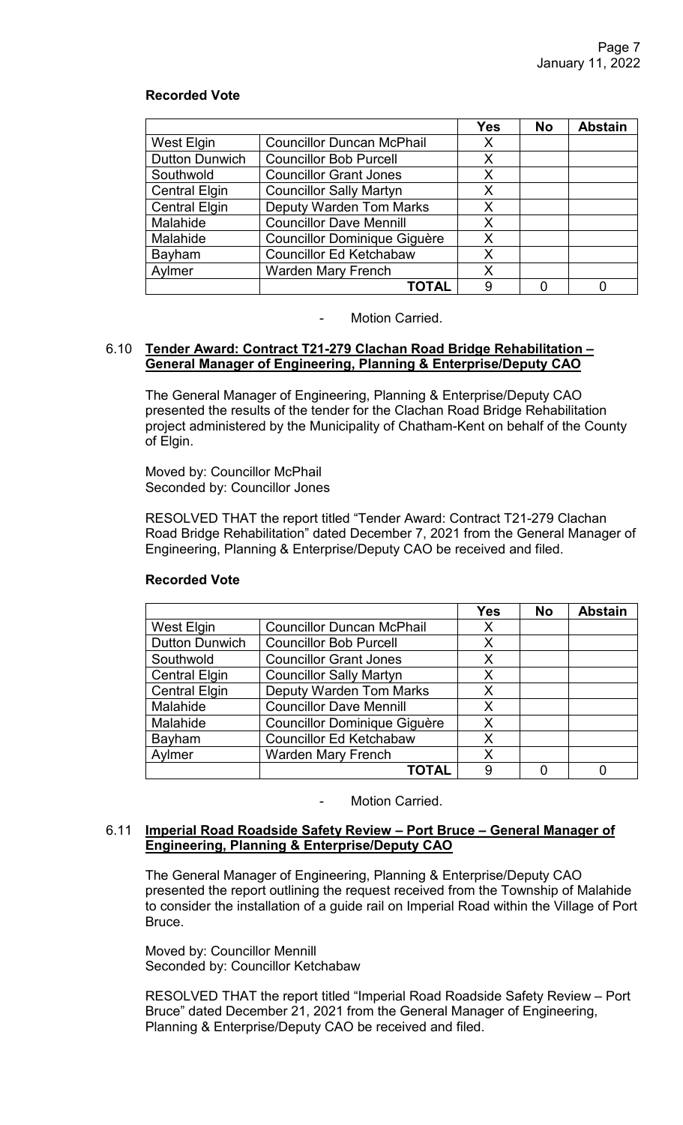# **Recorded Vote**

|                       |                                     | <b>Yes</b> | <b>No</b> | <b>Abstain</b> |
|-----------------------|-------------------------------------|------------|-----------|----------------|
| <b>West Elgin</b>     | <b>Councillor Duncan McPhail</b>    | Х          |           |                |
| <b>Dutton Dunwich</b> | <b>Councillor Bob Purcell</b>       | X          |           |                |
| Southwold             | <b>Councillor Grant Jones</b>       | X          |           |                |
| <b>Central Elgin</b>  | <b>Councillor Sally Martyn</b>      | X          |           |                |
| <b>Central Elgin</b>  | <b>Deputy Warden Tom Marks</b>      | X          |           |                |
| Malahide              | <b>Councillor Dave Mennill</b>      | Χ          |           |                |
| Malahide              | <b>Councillor Dominique Giguère</b> | X          |           |                |
| Bayham                | <b>Councillor Ed Ketchabaw</b>      | X          |           |                |
| Aylmer                | <b>Warden Mary French</b>           | Χ          |           |                |
|                       | TOTAL                               | 9          |           |                |

Motion Carried.

## 6.10 **Tender Award: Contract T21-279 Clachan Road Bridge Rehabilitation – General Manager of Engineering, Planning & Enterprise/Deputy CAO**

The General Manager of Engineering, Planning & Enterprise/Deputy CAO presented the results of the tender for the Clachan Road Bridge Rehabilitation project administered by the Municipality of Chatham-Kent on behalf of the County of Elgin.

Moved by: Councillor McPhail Seconded by: Councillor Jones

RESOLVED THAT the report titled "Tender Award: Contract T21-279 Clachan Road Bridge Rehabilitation" dated December 7, 2021 from the General Manager of Engineering, Planning & Enterprise/Deputy CAO be received and filed.

|                       |                                     | <b>Yes</b> | <b>No</b> | <b>Abstain</b> |
|-----------------------|-------------------------------------|------------|-----------|----------------|
| West Elgin            | <b>Councillor Duncan McPhail</b>    | X          |           |                |
| <b>Dutton Dunwich</b> | <b>Councillor Bob Purcell</b>       | X          |           |                |
| Southwold             | <b>Councillor Grant Jones</b>       | X          |           |                |
| <b>Central Elgin</b>  | <b>Councillor Sally Martyn</b>      | X          |           |                |
| <b>Central Elgin</b>  | <b>Deputy Warden Tom Marks</b>      | Х          |           |                |
| Malahide              | <b>Councillor Dave Mennill</b>      | X          |           |                |
| Malahide              | <b>Councillor Dominique Giguère</b> | X          |           |                |
| <b>Bayham</b>         | <b>Councillor Ed Ketchabaw</b>      | X          |           |                |
| Aylmer                | <b>Warden Mary French</b>           | X          |           |                |
|                       | TOTAL                               | 9          |           |                |

# **Recorded Vote**

Motion Carried.

#### 6.11 **Imperial Road Roadside Safety Review – Port Bruce – General Manager of Engineering, Planning & Enterprise/Deputy CAO**

The General Manager of Engineering, Planning & Enterprise/Deputy CAO presented the report outlining the request received from the Township of Malahide to consider the installation of a guide rail on Imperial Road within the Village of Port Bruce.

Moved by: Councillor Mennill Seconded by: Councillor Ketchabaw

RESOLVED THAT the report titled "Imperial Road Roadside Safety Review – Port Bruce" dated December 21, 2021 from the General Manager of Engineering, Planning & Enterprise/Deputy CAO be received and filed.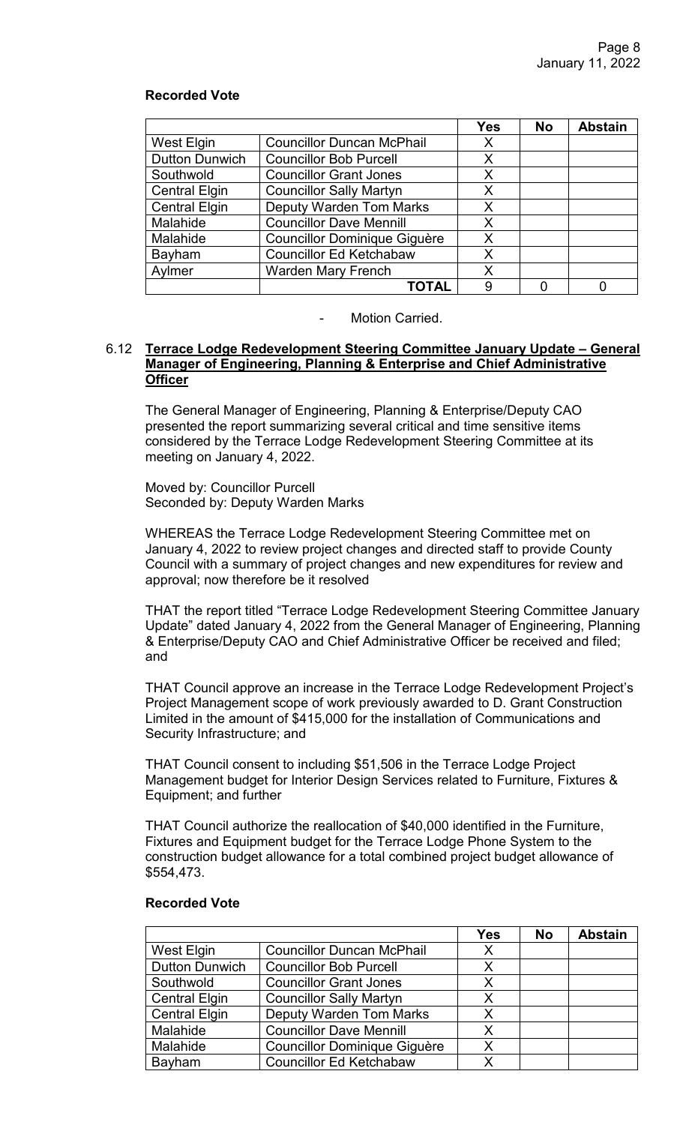# **Recorded Vote**

|                       |                                     | <b>Yes</b> | <b>No</b> | <b>Abstain</b> |
|-----------------------|-------------------------------------|------------|-----------|----------------|
| <b>West Elgin</b>     | <b>Councillor Duncan McPhail</b>    | X          |           |                |
| <b>Dutton Dunwich</b> | <b>Councillor Bob Purcell</b>       | X          |           |                |
| Southwold             | <b>Councillor Grant Jones</b>       | X          |           |                |
| <b>Central Elgin</b>  | <b>Councillor Sally Martyn</b>      | X          |           |                |
| <b>Central Elgin</b>  | <b>Deputy Warden Tom Marks</b>      | X          |           |                |
| Malahide              | <b>Councillor Dave Mennill</b>      | X          |           |                |
| Malahide              | <b>Councillor Dominique Giguère</b> | X          |           |                |
| Bayham                | <b>Councillor Ed Ketchabaw</b>      | X          |           |                |
| Aylmer                | <b>Warden Mary French</b>           | X          |           |                |
|                       | ΤΟΤΑL                               | 9          |           |                |

#### Motion Carried.

## 6.12 **Terrace Lodge Redevelopment Steering Committee January Update – General Manager of Engineering, Planning & Enterprise and Chief Administrative Officer**

The General Manager of Engineering, Planning & Enterprise/Deputy CAO presented the report summarizing several critical and time sensitive items considered by the Terrace Lodge Redevelopment Steering Committee at its meeting on January 4, 2022.

Moved by: Councillor Purcell Seconded by: Deputy Warden Marks

WHEREAS the Terrace Lodge Redevelopment Steering Committee met on January 4, 2022 to review project changes and directed staff to provide County Council with a summary of project changes and new expenditures for review and approval; now therefore be it resolved

THAT the report titled "Terrace Lodge Redevelopment Steering Committee January Update" dated January 4, 2022 from the General Manager of Engineering, Planning & Enterprise/Deputy CAO and Chief Administrative Officer be received and filed; and

THAT Council approve an increase in the Terrace Lodge Redevelopment Project's Project Management scope of work previously awarded to D. Grant Construction Limited in the amount of \$415,000 for the installation of Communications and Security Infrastructure; and

THAT Council consent to including \$51,506 in the Terrace Lodge Project Management budget for Interior Design Services related to Furniture, Fixtures & Equipment; and further

THAT Council authorize the reallocation of \$40,000 identified in the Furniture, Fixtures and Equipment budget for the Terrace Lodge Phone System to the construction budget allowance for a total combined project budget allowance of \$554,473.

|                       |                                     | Yes | <b>No</b> | <b>Abstain</b> |
|-----------------------|-------------------------------------|-----|-----------|----------------|
| West Elgin            | <b>Councillor Duncan McPhail</b>    | Х   |           |                |
| <b>Dutton Dunwich</b> | <b>Councillor Bob Purcell</b>       | X   |           |                |
| Southwold             | <b>Councillor Grant Jones</b>       | Х   |           |                |
| <b>Central Elgin</b>  | <b>Councillor Sally Martyn</b>      | Χ   |           |                |
| <b>Central Elgin</b>  | <b>Deputy Warden Tom Marks</b>      | Х   |           |                |
| Malahide              | <b>Councillor Dave Mennill</b>      | X   |           |                |
| Malahide              | <b>Councillor Dominique Giguère</b> | X   |           |                |
| Bayham                | <b>Councillor Ed Ketchabaw</b>      | X   |           |                |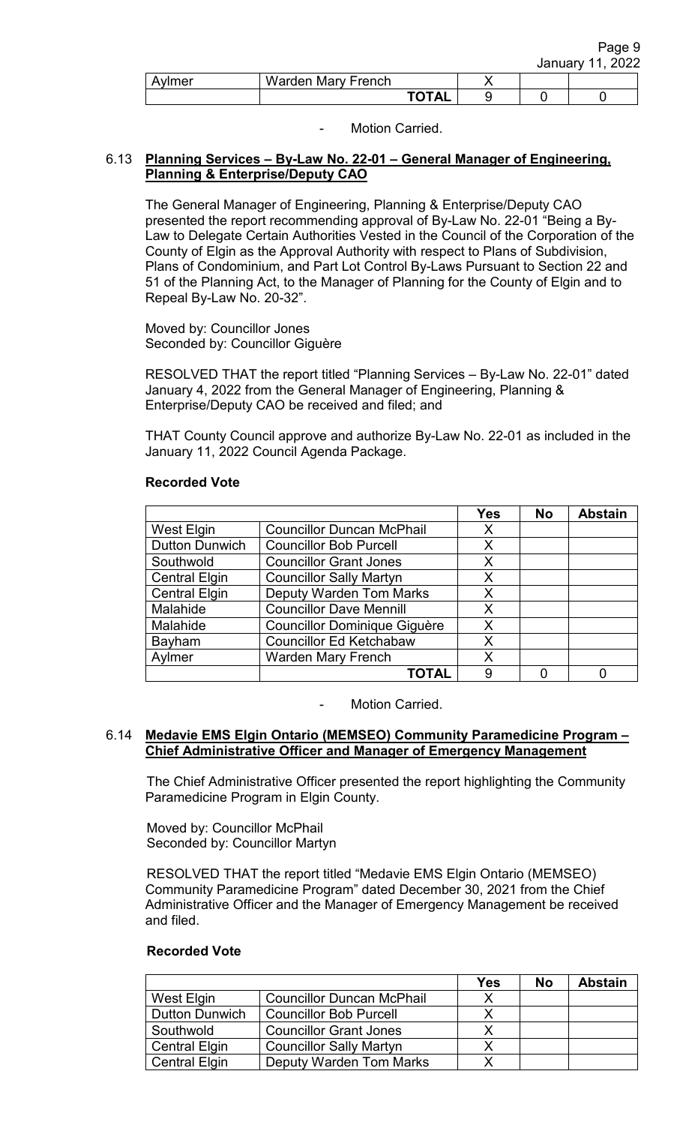|        |                    |              |  | Page 9           |
|--------|--------------------|--------------|--|------------------|
|        |                    |              |  | January 11, 2022 |
| Aylmer | Warden Mary French |              |  |                  |
|        |                    | <b>TOTAL</b> |  |                  |

# 6.13 **Planning Services – By-Law No. 22-01 – General Manager of Engineering, Planning & Enterprise/Deputy CAO**

The General Manager of Engineering, Planning & Enterprise/Deputy CAO presented the report recommending approval of By-Law No. 22-01 "Being a By-Law to Delegate Certain Authorities Vested in the Council of the Corporation of the County of Elgin as the Approval Authority with respect to Plans of Subdivision, Plans of Condominium, and Part Lot Control By-Laws Pursuant to Section 22 and 51 of the Planning Act, to the Manager of Planning for the County of Elgin and to Repeal By-Law No. 20-32".

Moved by: Councillor Jones Seconded by: Councillor Giguère

RESOLVED THAT the report titled "Planning Services – By-Law No. 22-01" dated January 4, 2022 from the General Manager of Engineering, Planning & Enterprise/Deputy CAO be received and filed; and

THAT County Council approve and authorize By-Law No. 22-01 as included in the January 11, 2022 Council Agenda Package.

| <b>Recorded Vote</b> |  |
|----------------------|--|
|----------------------|--|

|                       |                                     | <b>Yes</b> | <b>No</b> | <b>Abstain</b> |
|-----------------------|-------------------------------------|------------|-----------|----------------|
| West Elgin            | <b>Councillor Duncan McPhail</b>    | X          |           |                |
| <b>Dutton Dunwich</b> | <b>Councillor Bob Purcell</b>       | X          |           |                |
| Southwold             | <b>Councillor Grant Jones</b>       | X          |           |                |
| <b>Central Elgin</b>  | <b>Councillor Sally Martyn</b>      | X          |           |                |
| <b>Central Elgin</b>  | <b>Deputy Warden Tom Marks</b>      | X          |           |                |
| Malahide              | <b>Councillor Dave Mennill</b>      | X          |           |                |
| Malahide              | <b>Councillor Dominique Giguère</b> | X          |           |                |
| Bayham                | <b>Councillor Ed Ketchabaw</b>      | X          |           |                |
| Aylmer                | <b>Warden Mary French</b>           | X          |           |                |
|                       | ΤΟΤΑL                               | 9          |           |                |

Motion Carried.

## 6.14 **Medavie EMS Elgin Ontario (MEMSEO) Community Paramedicine Program – Chief Administrative Officer and Manager of Emergency Management**

The Chief Administrative Officer presented the report highlighting the Community Paramedicine Program in Elgin County.

Moved by: Councillor McPhail Seconded by: Councillor Martyn

RESOLVED THAT the report titled "Medavie EMS Elgin Ontario (MEMSEO) Community Paramedicine Program" dated December 30, 2021 from the Chief Administrative Officer and the Manager of Emergency Management be received and filed.

|                       |                                  | Yes | No | <b>Abstain</b> |
|-----------------------|----------------------------------|-----|----|----------------|
| West Elgin            | <b>Councillor Duncan McPhail</b> | Χ   |    |                |
| <b>Dutton Dunwich</b> | <b>Councillor Bob Purcell</b>    |     |    |                |
| Southwold             | <b>Councillor Grant Jones</b>    |     |    |                |
| <b>Central Elgin</b>  | <b>Councillor Sally Martyn</b>   |     |    |                |
| <b>Central Elgin</b>  | <b>Deputy Warden Tom Marks</b>   | Y   |    |                |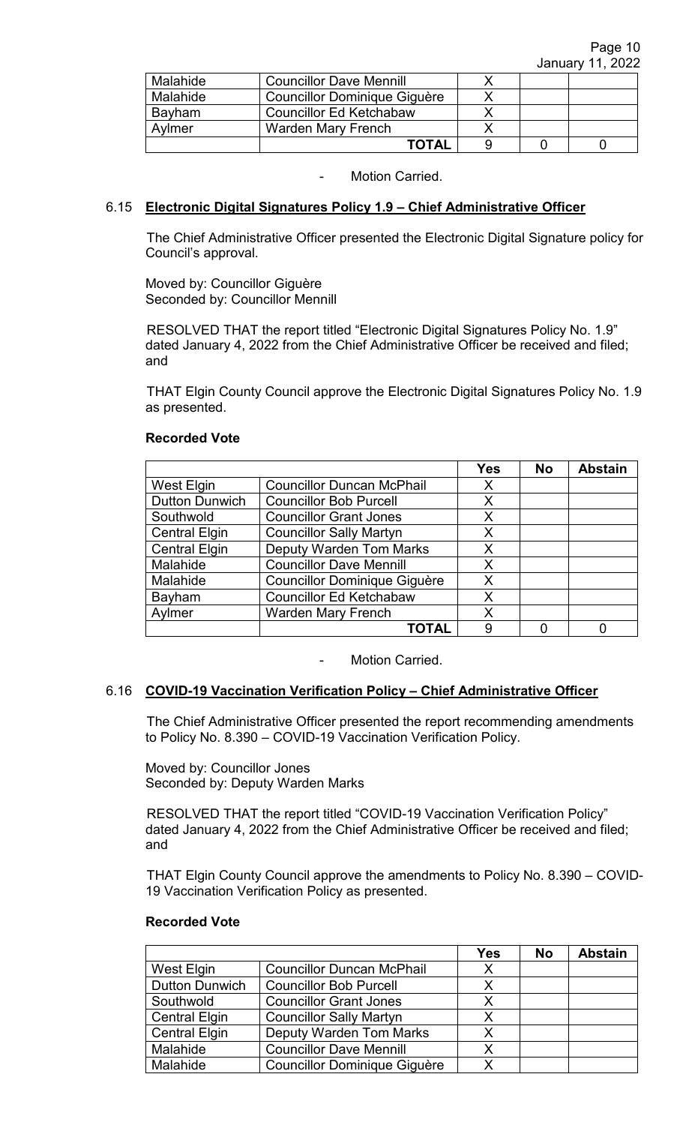| Malahide | <b>Councillor Dave Mennill</b>      |  |  |
|----------|-------------------------------------|--|--|
| Malahide | <b>Councillor Dominique Giguère</b> |  |  |
| Bayham   | <b>Councillor Ed Ketchabaw</b>      |  |  |
| Avlmer   | <b>Warden Mary French</b>           |  |  |
|          | ΤΩΤΑΙ                               |  |  |

## 6.15 **Electronic Digital Signatures Policy 1.9 – Chief Administrative Officer**

 The Chief Administrative Officer presented the Electronic Digital Signature policy for Council's approval.

 Moved by: Councillor Giguère Seconded by: Councillor Mennill

 RESOLVED THAT the report titled "Electronic Digital Signatures Policy No. 1.9" dated January 4, 2022 from the Chief Administrative Officer be received and filed; and

 THAT Elgin County Council approve the Electronic Digital Signatures Policy No. 1.9 as presented.

#### **Recorded Vote**

|                       |                                     | <b>Yes</b> | <b>No</b> | <b>Abstain</b> |
|-----------------------|-------------------------------------|------------|-----------|----------------|
| West Elgin            | <b>Councillor Duncan McPhail</b>    | X          |           |                |
| <b>Dutton Dunwich</b> | <b>Councillor Bob Purcell</b>       | X          |           |                |
| Southwold             | <b>Councillor Grant Jones</b>       | Χ          |           |                |
| <b>Central Elgin</b>  | <b>Councillor Sally Martyn</b>      | X          |           |                |
| <b>Central Elgin</b>  | <b>Deputy Warden Tom Marks</b>      | X          |           |                |
| Malahide              | <b>Councillor Dave Mennill</b>      | X          |           |                |
| Malahide              | <b>Councillor Dominique Giguère</b> | X          |           |                |
| Bayham                | <b>Councillor Ed Ketchabaw</b>      | X          |           |                |
| Aylmer                | <b>Warden Mary French</b>           | Χ          |           |                |
|                       | ΤΟΤΑL                               | 9          |           |                |

Motion Carried.

## 6.16 **COVID-19 Vaccination Verification Policy – Chief Administrative Officer**

The Chief Administrative Officer presented the report recommending amendments to Policy No. 8.390 – COVID-19 Vaccination Verification Policy.

 Moved by: Councillor Jones Seconded by: Deputy Warden Marks

RESOLVED THAT the report titled "COVID-19 Vaccination Verification Policy" dated January 4, 2022 from the Chief Administrative Officer be received and filed; and

THAT Elgin County Council approve the amendments to Policy No. 8.390 – COVID-19 Vaccination Verification Policy as presented.

|                       |                                     | <b>Yes</b> | <b>No</b> | <b>Abstain</b> |
|-----------------------|-------------------------------------|------------|-----------|----------------|
| West Elgin            | <b>Councillor Duncan McPhail</b>    | X          |           |                |
| <b>Dutton Dunwich</b> | <b>Councillor Bob Purcell</b>       | х          |           |                |
| Southwold             | <b>Councillor Grant Jones</b>       | X          |           |                |
| <b>Central Elgin</b>  | <b>Councillor Sally Martyn</b>      | x          |           |                |
| <b>Central Elgin</b>  | <b>Deputy Warden Tom Marks</b>      | Х          |           |                |
| Malahide              | <b>Councillor Dave Mennill</b>      | X          |           |                |
| Malahide              | <b>Councillor Dominique Giguère</b> |            |           |                |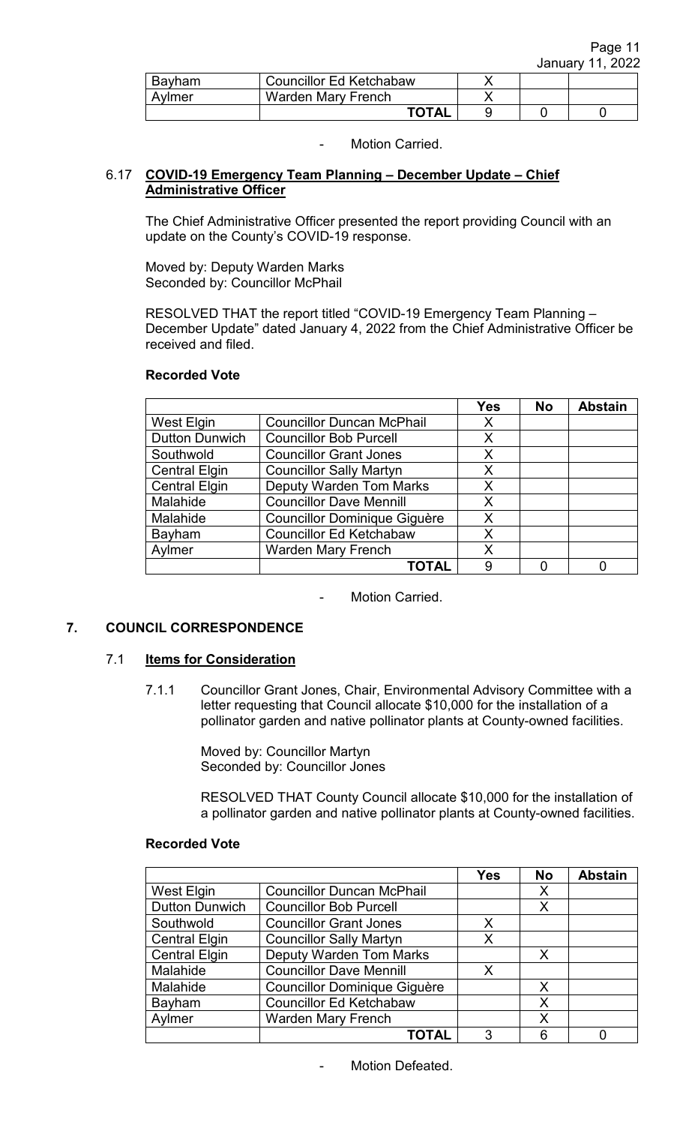| Bayham | <b>Councillor Ed Ketchabaw</b> |  |  |
|--------|--------------------------------|--|--|
| Avlmer | Warden Mary French             |  |  |
|        | <b>TOTAL</b>                   |  |  |

## 6.17 **COVID-19 Emergency Team Planning – December Update – Chief Administrative Officer**

 The Chief Administrative Officer presented the report providing Council with an update on the County's COVID-19 response.

 Moved by: Deputy Warden Marks Seconded by: Councillor McPhail

 RESOLVED THAT the report titled "COVID-19 Emergency Team Planning – December Update" dated January 4, 2022 from the Chief Administrative Officer be received and filed.

|                       |                                     | <b>Yes</b> | <b>No</b> | <b>Abstain</b> |
|-----------------------|-------------------------------------|------------|-----------|----------------|
| West Elgin            | <b>Councillor Duncan McPhail</b>    | X          |           |                |
| <b>Dutton Dunwich</b> | <b>Councillor Bob Purcell</b>       | X          |           |                |
| Southwold             | <b>Councillor Grant Jones</b>       | X          |           |                |
| <b>Central Elgin</b>  | <b>Councillor Sally Martyn</b>      | X          |           |                |
| <b>Central Elgin</b>  | <b>Deputy Warden Tom Marks</b>      | X          |           |                |
| Malahide              | <b>Councillor Dave Mennill</b>      | X          |           |                |
| Malahide              | <b>Councillor Dominique Giguère</b> | X          |           |                |
| Bayham                | <b>Councillor Ed Ketchabaw</b>      | X          |           |                |
| Aylmer                | <b>Warden Mary French</b>           | X          |           |                |
|                       | TOTAL                               | 9          |           |                |

## **Recorded Vote**

Motion Carried.

# **7. COUNCIL CORRESPONDENCE**

## 7.1 **Items for Consideration**

7.1.1 Councillor Grant Jones, Chair, Environmental Advisory Committee with a letter requesting that Council allocate \$10,000 for the installation of a pollinator garden and native pollinator plants at County-owned facilities.

> Moved by: Councillor Martyn Seconded by: Councillor Jones

RESOLVED THAT County Council allocate \$10,000 for the installation of a pollinator garden and native pollinator plants at County-owned facilities.

|                       |                                     | <b>Yes</b> | <b>No</b> | <b>Abstain</b> |
|-----------------------|-------------------------------------|------------|-----------|----------------|
| West Elgin            | <b>Councillor Duncan McPhail</b>    |            | X         |                |
| <b>Dutton Dunwich</b> | <b>Councillor Bob Purcell</b>       |            | X         |                |
| Southwold             | <b>Councillor Grant Jones</b>       | Х          |           |                |
| <b>Central Elgin</b>  | <b>Councillor Sally Martyn</b>      | X          |           |                |
| <b>Central Elgin</b>  | <b>Deputy Warden Tom Marks</b>      |            | X         |                |
| Malahide              | <b>Councillor Dave Mennill</b>      | Х          |           |                |
| Malahide              | <b>Councillor Dominique Giguère</b> |            | X         |                |
| Bayham                | <b>Councillor Ed Ketchabaw</b>      |            | X         |                |
| Aylmer                | <b>Warden Mary French</b>           |            | X         |                |
|                       | <b>TOTAL</b>                        | 3          | 6         |                |

Motion Defeated.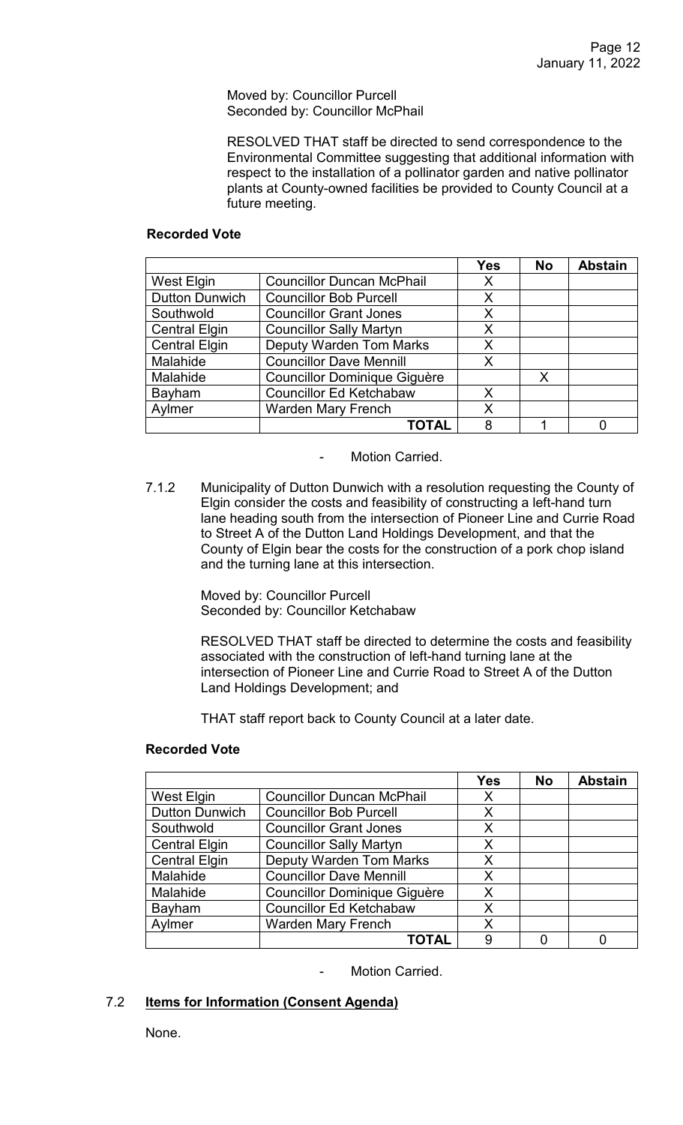Moved by: Councillor Purcell Seconded by: Councillor McPhail

RESOLVED THAT staff be directed to send correspondence to the Environmental Committee suggesting that additional information with respect to the installation of a pollinator garden and native pollinator plants at County-owned facilities be provided to County Council at a future meeting.

#### **Recorded Vote**

|                       |                                     | <b>Yes</b> | <b>No</b> | <b>Abstain</b> |
|-----------------------|-------------------------------------|------------|-----------|----------------|
| West Elgin            | <b>Councillor Duncan McPhail</b>    | X          |           |                |
| <b>Dutton Dunwich</b> | <b>Councillor Bob Purcell</b>       | X          |           |                |
| Southwold             | <b>Councillor Grant Jones</b>       | X          |           |                |
| <b>Central Elgin</b>  | <b>Councillor Sally Martyn</b>      | Χ          |           |                |
| <b>Central Elgin</b>  | <b>Deputy Warden Tom Marks</b>      | X          |           |                |
| Malahide              | <b>Councillor Dave Mennill</b>      | Х          |           |                |
| Malahide              | <b>Councillor Dominique Giguère</b> |            | X         |                |
| Bayham                | <b>Councillor Ed Ketchabaw</b>      | X          |           |                |
| Aylmer                | <b>Warden Mary French</b>           | Χ          |           |                |
|                       | <b>TOTAL</b>                        | 8          |           |                |

Motion Carried.

7.1.2 Municipality of Dutton Dunwich with a resolution requesting the County of Elgin consider the costs and feasibility of constructing a left-hand turn lane heading south from the intersection of Pioneer Line and Currie Road to Street A of the Dutton Land Holdings Development, and that the County of Elgin bear the costs for the construction of a pork chop island and the turning lane at this intersection.

> Moved by: Councillor Purcell Seconded by: Councillor Ketchabaw

RESOLVED THAT staff be directed to determine the costs and feasibility associated with the construction of left-hand turning lane at the intersection of Pioneer Line and Currie Road to Street A of the Dutton Land Holdings Development; and

THAT staff report back to County Council at a later date.

|                       |                                     | <b>Yes</b> | <b>No</b> | <b>Abstain</b> |
|-----------------------|-------------------------------------|------------|-----------|----------------|
| West Elgin            | <b>Councillor Duncan McPhail</b>    | X          |           |                |
| <b>Dutton Dunwich</b> | <b>Councillor Bob Purcell</b>       | X          |           |                |
| Southwold             | <b>Councillor Grant Jones</b>       | X          |           |                |
| <b>Central Elgin</b>  | <b>Councillor Sally Martyn</b>      | X          |           |                |
| <b>Central Elgin</b>  | <b>Deputy Warden Tom Marks</b>      | X          |           |                |
| Malahide              | <b>Councillor Dave Mennill</b>      | X          |           |                |
| Malahide              | <b>Councillor Dominique Giguère</b> | X          |           |                |
| Bayham                | <b>Councillor Ed Ketchabaw</b>      | Χ          |           |                |
| Aylmer                | <b>Warden Mary French</b>           | X          |           |                |
|                       | <b>TOTAL</b>                        | 9          |           |                |

# **Recorded Vote**

Motion Carried.

# 7.2 **Items for Information (Consent Agenda)**

None.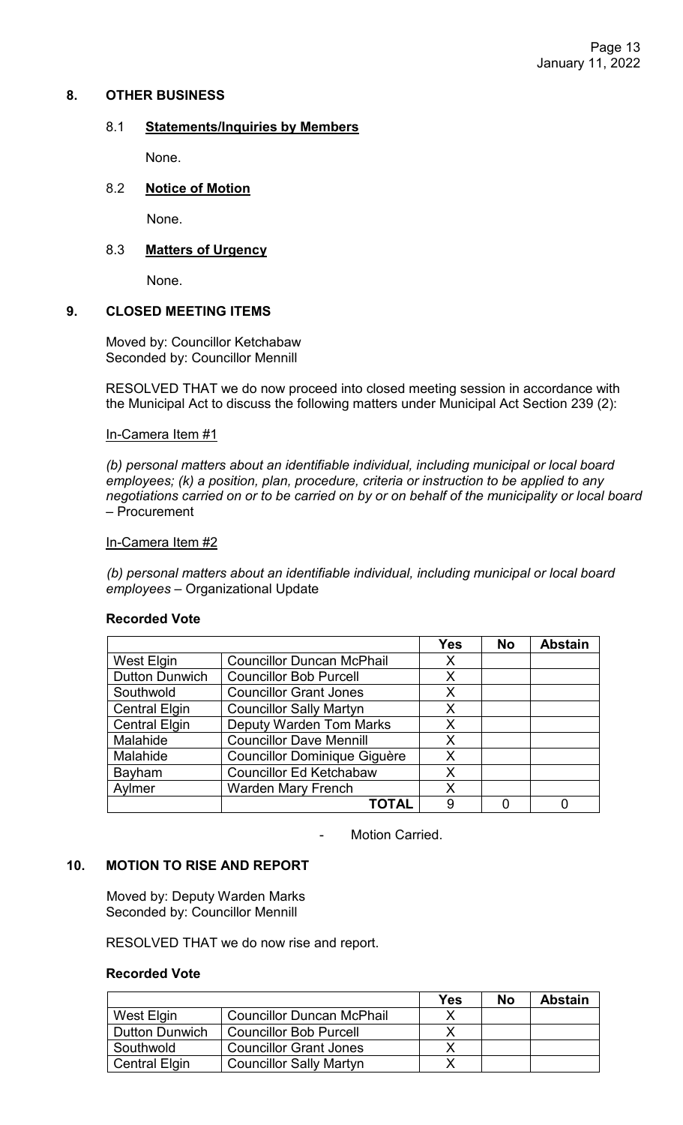## **8. OTHER BUSINESS**

## 8.1 **Statements/Inquiries by Members**

None.

## 8.2 **Notice of Motion**

None.

# 8.3 **Matters of Urgency**

None.

## **9. CLOSED MEETING ITEMS**

Moved by: Councillor Ketchabaw Seconded by: Councillor Mennill

RESOLVED THAT we do now proceed into closed meeting session in accordance with the Municipal Act to discuss the following matters under Municipal Act Section 239 (2):

#### In-Camera Item #1

*(b) personal matters about an identifiable individual, including municipal or local board employees; (k) a position, plan, procedure, criteria or instruction to be applied to any negotiations carried on or to be carried on by or on behalf of the municipality or local board* – Procurement

#### In-Camera Item #2

*(b) personal matters about an identifiable individual, including municipal or local board employees* – Organizational Update

#### **Recorded Vote**

|                       |                                     | <b>Yes</b> | <b>No</b> | <b>Abstain</b> |
|-----------------------|-------------------------------------|------------|-----------|----------------|
| <b>West Elgin</b>     | <b>Councillor Duncan McPhail</b>    | X          |           |                |
| <b>Dutton Dunwich</b> | <b>Councillor Bob Purcell</b>       | Х          |           |                |
| Southwold             | <b>Councillor Grant Jones</b>       | X          |           |                |
| <b>Central Elgin</b>  | <b>Councillor Sally Martyn</b>      | X          |           |                |
| <b>Central Elgin</b>  | <b>Deputy Warden Tom Marks</b>      | X          |           |                |
| Malahide              | <b>Councillor Dave Mennill</b>      | X          |           |                |
| Malahide              | <b>Councillor Dominique Giguère</b> | X          |           |                |
| Bayham                | <b>Councillor Ed Ketchabaw</b>      | X          |           |                |
| Aylmer                | <b>Warden Mary French</b>           | Χ          |           |                |
|                       | <b>TOTAL</b>                        | 9          |           |                |

Motion Carried.

#### **10. MOTION TO RISE AND REPORT**

Moved by: Deputy Warden Marks Seconded by: Councillor Mennill

RESOLVED THAT we do now rise and report.

|                       |                                  | Yes | No | <b>Abstain</b> |
|-----------------------|----------------------------------|-----|----|----------------|
| West Elgin            | <b>Councillor Duncan McPhail</b> |     |    |                |
| <b>Dutton Dunwich</b> | <b>Councillor Bob Purcell</b>    |     |    |                |
| Southwold             | <b>Councillor Grant Jones</b>    |     |    |                |
| <b>Central Elgin</b>  | <b>Councillor Sally Martyn</b>   |     |    |                |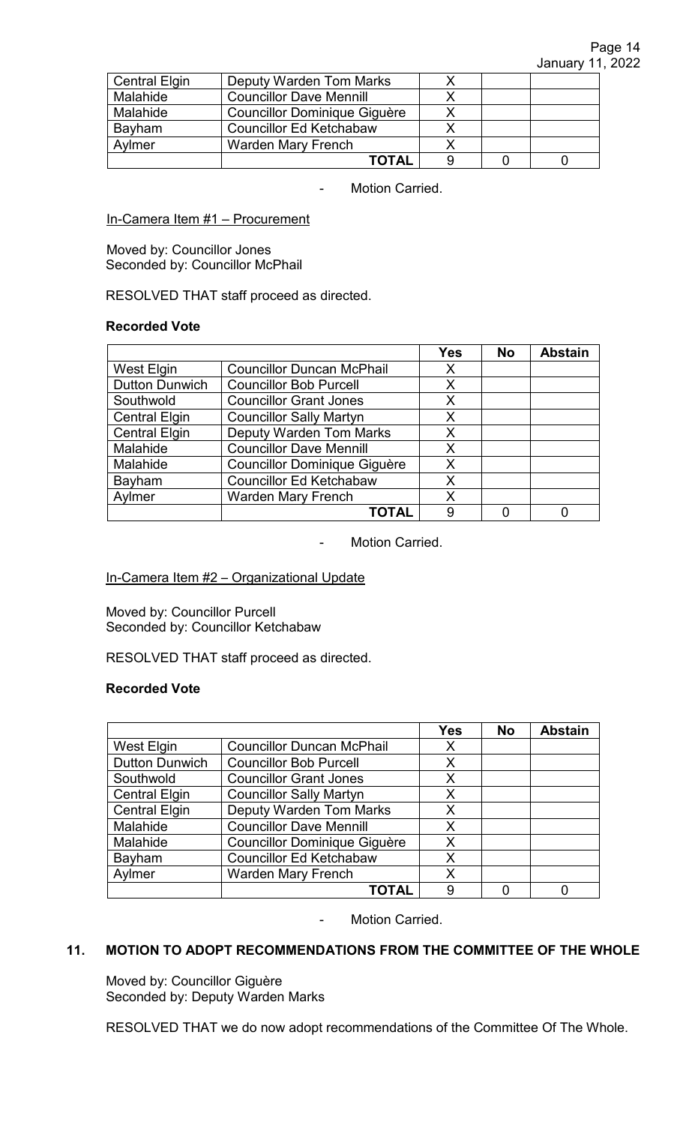| <b>Central Elgin</b> | <b>Deputy Warden Tom Marks</b>      |  |  |
|----------------------|-------------------------------------|--|--|
| Malahide             | <b>Councillor Dave Mennill</b>      |  |  |
| Malahide             | <b>Councillor Dominique Giguère</b> |  |  |
| Bayham               | <b>Councillor Ed Ketchabaw</b>      |  |  |
| Aylmer               | <b>Warden Mary French</b>           |  |  |
|                      | <b>TOTAL</b>                        |  |  |

## In-Camera Item #1 – Procurement

Moved by: Councillor Jones Seconded by: Councillor McPhail

RESOLVED THAT staff proceed as directed.

#### **Recorded Vote**

|                       |                                     | <b>Yes</b> | <b>No</b> | <b>Abstain</b> |
|-----------------------|-------------------------------------|------------|-----------|----------------|
| <b>West Elgin</b>     | <b>Councillor Duncan McPhail</b>    | Х          |           |                |
| <b>Dutton Dunwich</b> | <b>Councillor Bob Purcell</b>       | X          |           |                |
| Southwold             | <b>Councillor Grant Jones</b>       | X          |           |                |
| <b>Central Elgin</b>  | <b>Councillor Sally Martyn</b>      | X          |           |                |
| <b>Central Elgin</b>  | <b>Deputy Warden Tom Marks</b>      | Χ          |           |                |
| Malahide              | <b>Councillor Dave Mennill</b>      | X          |           |                |
| Malahide              | <b>Councillor Dominique Giguère</b> | X          |           |                |
| Bayham                | <b>Councillor Ed Ketchabaw</b>      | X          |           |                |
| Aylmer                | <b>Warden Mary French</b>           | X          |           |                |
|                       | <b>TOTAL</b>                        | 9          |           |                |

- Motion Carried.

#### In-Camera Item #2 – Organizational Update

Moved by: Councillor Purcell Seconded by: Councillor Ketchabaw

RESOLVED THAT staff proceed as directed.

#### **Recorded Vote**

|                       |                                     | <b>Yes</b> | <b>No</b> | <b>Abstain</b> |
|-----------------------|-------------------------------------|------------|-----------|----------------|
| <b>West Elgin</b>     | <b>Councillor Duncan McPhail</b>    | X          |           |                |
| <b>Dutton Dunwich</b> | <b>Councillor Bob Purcell</b>       | X          |           |                |
| Southwold             | <b>Councillor Grant Jones</b>       | X          |           |                |
| <b>Central Elgin</b>  | <b>Councillor Sally Martyn</b>      | X          |           |                |
| <b>Central Elgin</b>  | <b>Deputy Warden Tom Marks</b>      | X          |           |                |
| Malahide              | <b>Councillor Dave Mennill</b>      | X          |           |                |
| Malahide              | <b>Councillor Dominique Giguère</b> | X          |           |                |
| Bayham                | <b>Councillor Ed Ketchabaw</b>      | X          |           |                |
| Aylmer                | <b>Warden Mary French</b>           | X          |           |                |
|                       | <b>TOTAI</b>                        | 9          | U         |                |

- Motion Carried.

# **11. MOTION TO ADOPT RECOMMENDATIONS FROM THE COMMITTEE OF THE WHOLE**

Moved by: Councillor Giguère Seconded by: Deputy Warden Marks

RESOLVED THAT we do now adopt recommendations of the Committee Of The Whole.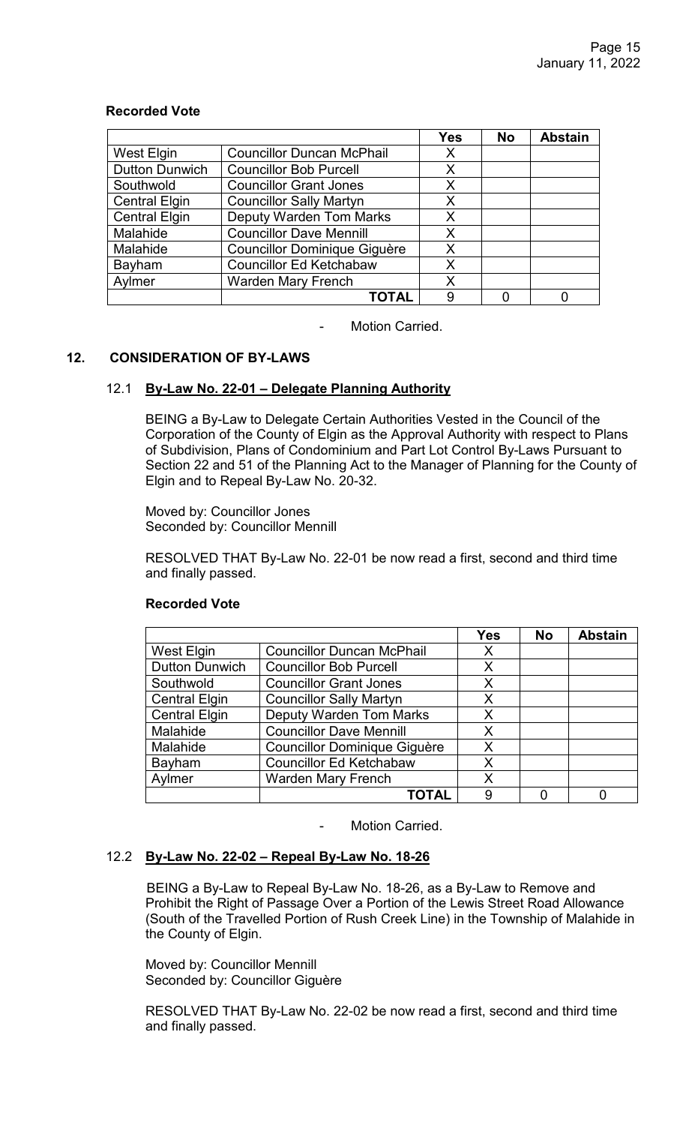|                       |                                     | <b>Yes</b> | <b>No</b> | <b>Abstain</b> |
|-----------------------|-------------------------------------|------------|-----------|----------------|
| <b>West Elgin</b>     | <b>Councillor Duncan McPhail</b>    | X          |           |                |
| <b>Dutton Dunwich</b> | <b>Councillor Bob Purcell</b>       | X          |           |                |
| Southwold             | <b>Councillor Grant Jones</b>       | X          |           |                |
| <b>Central Elgin</b>  | <b>Councillor Sally Martyn</b>      | X          |           |                |
| <b>Central Elgin</b>  | <b>Deputy Warden Tom Marks</b>      | X          |           |                |
| Malahide              | <b>Councillor Dave Mennill</b>      | X          |           |                |
| Malahide              | <b>Councillor Dominique Giguère</b> | X          |           |                |
| Bayham                | <b>Councillor Ed Ketchabaw</b>      | X          |           |                |
| Aylmer                | <b>Warden Mary French</b>           | X          |           |                |
|                       | ΤΟΤΑL                               | 9          |           |                |

## **12. CONSIDERATION OF BY-LAWS**

#### 12.1 **By-Law No. 22-01 – Delegate Planning Authority**

BEING a By-Law to Delegate Certain Authorities Vested in the Council of the Corporation of the County of Elgin as the Approval Authority with respect to Plans of Subdivision, Plans of Condominium and Part Lot Control By-Laws Pursuant to Section 22 and 51 of the Planning Act to the Manager of Planning for the County of Elgin and to Repeal By-Law No. 20-32.

Moved by: Councillor Jones Seconded by: Councillor Mennill

RESOLVED THAT By-Law No. 22-01 be now read a first, second and third time and finally passed.

|                       |                                     | <b>Yes</b> | <b>No</b> | <b>Abstain</b> |
|-----------------------|-------------------------------------|------------|-----------|----------------|
| West Elgin            | <b>Councillor Duncan McPhail</b>    | X          |           |                |
| <b>Dutton Dunwich</b> | <b>Councillor Bob Purcell</b>       | X          |           |                |
| Southwold             | <b>Councillor Grant Jones</b>       | X          |           |                |
| <b>Central Elgin</b>  | <b>Councillor Sally Martyn</b>      | X          |           |                |
| <b>Central Elgin</b>  | <b>Deputy Warden Tom Marks</b>      | X          |           |                |
| Malahide              | <b>Councillor Dave Mennill</b>      | X          |           |                |
| Malahide              | <b>Councillor Dominique Giguère</b> | X          |           |                |
| Bayham                | <b>Councillor Ed Ketchabaw</b>      | $\sf X$    |           |                |
| Aylmer                | <b>Warden Mary French</b>           | X          |           |                |
|                       | <b>TOTAL</b>                        | 9          |           |                |

#### **Recorded Vote**

- Motion Carried.

#### 12.2 **By-Law No. 22-02 – Repeal By-Law No. 18-26**

BEING a By-Law to Repeal By-Law No. 18-26, as a By-Law to Remove and Prohibit the Right of Passage Over a Portion of the Lewis Street Road Allowance (South of the Travelled Portion of Rush Creek Line) in the Township of Malahide in the County of Elgin.

Moved by: Councillor Mennill Seconded by: Councillor Giguère

RESOLVED THAT By-Law No. 22-02 be now read a first, second and third time and finally passed.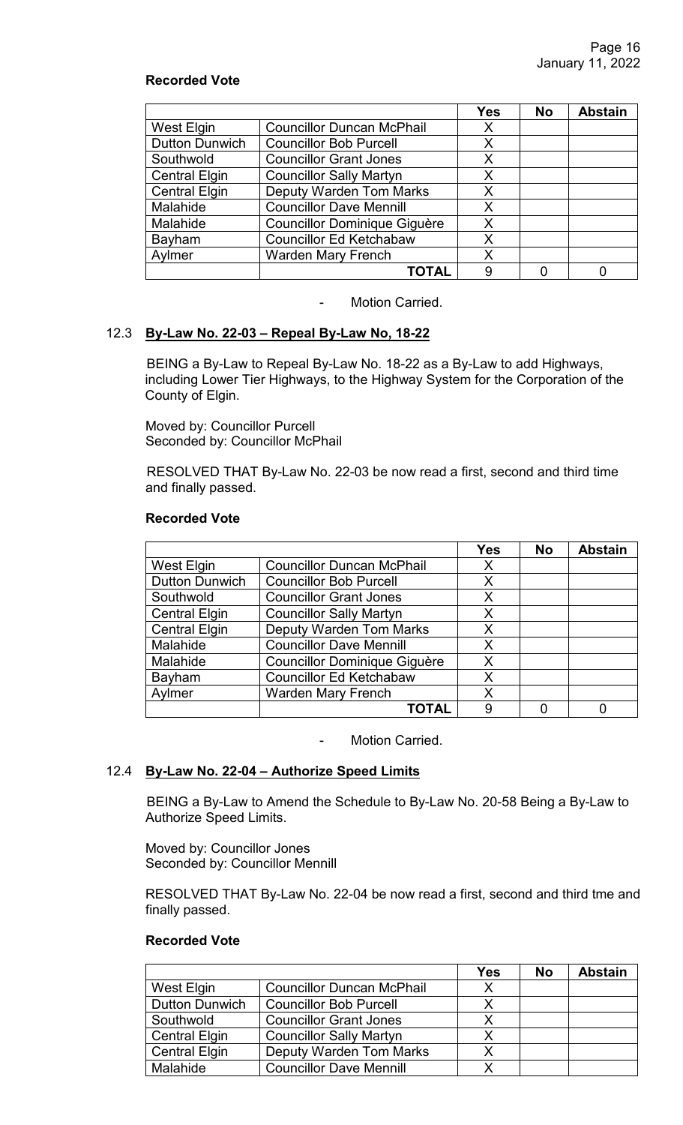# **Recorded Vote**

|                       |                                     | <b>Yes</b> | <b>No</b> | <b>Abstain</b> |
|-----------------------|-------------------------------------|------------|-----------|----------------|
| West Elgin            | <b>Councillor Duncan McPhail</b>    | X          |           |                |
| <b>Dutton Dunwich</b> | <b>Councillor Bob Purcell</b>       | Χ          |           |                |
| Southwold             | <b>Councillor Grant Jones</b>       | Χ          |           |                |
| <b>Central Elgin</b>  | <b>Councillor Sally Martyn</b>      | X          |           |                |
| <b>Central Elgin</b>  | <b>Deputy Warden Tom Marks</b>      | X          |           |                |
| Malahide              | <b>Councillor Dave Mennill</b>      | X          |           |                |
| Malahide              | <b>Councillor Dominique Giguère</b> | X          |           |                |
| Bayham                | <b>Councillor Ed Ketchabaw</b>      | X          |           |                |
| Aylmer                | <b>Warden Mary French</b>           | X          |           |                |
|                       | TOTAL                               | 9          |           |                |

- Motion Carried.

## 12.3 **By-Law No. 22-03 – Repeal By-Law No, 18-22**

BEING a By-Law to Repeal By-Law No. 18-22 as a By-Law to add Highways, including Lower Tier Highways, to the Highway System for the Corporation of the County of Elgin.

Moved by: Councillor Purcell Seconded by: Councillor McPhail

RESOLVED THAT By-Law No. 22-03 be now read a first, second and third time and finally passed.

#### **Recorded Vote**

|                       |                                     | <b>Yes</b> | <b>No</b> | <b>Abstain</b> |
|-----------------------|-------------------------------------|------------|-----------|----------------|
| West Elgin            | <b>Councillor Duncan McPhail</b>    | X          |           |                |
| <b>Dutton Dunwich</b> | <b>Councillor Bob Purcell</b>       | X          |           |                |
| Southwold             | <b>Councillor Grant Jones</b>       | X          |           |                |
| <b>Central Elgin</b>  | <b>Councillor Sally Martyn</b>      | X          |           |                |
| <b>Central Elgin</b>  | <b>Deputy Warden Tom Marks</b>      | X          |           |                |
| Malahide              | <b>Councillor Dave Mennill</b>      | X          |           |                |
| Malahide              | <b>Councillor Dominique Giguère</b> | X          |           |                |
| Bayham                | <b>Councillor Ed Ketchabaw</b>      | X          |           |                |
| Aylmer                | <b>Warden Mary French</b>           | Χ          |           |                |
|                       | <b>TOTAL</b>                        | 9          |           |                |

- Motion Carried.

# 12.4 **By-Law No. 22-04 – Authorize Speed Limits**

BEING a By-Law to Amend the Schedule to By-Law No. 20-58 Being a By-Law to Authorize Speed Limits.

Moved by: Councillor Jones Seconded by: Councillor Mennill

RESOLVED THAT By-Law No. 22-04 be now read a first, second and third tme and finally passed.

|                       |                                  | Yes | <b>No</b> | <b>Abstain</b> |
|-----------------------|----------------------------------|-----|-----------|----------------|
| West Elgin            | <b>Councillor Duncan McPhail</b> | Χ   |           |                |
| <b>Dutton Dunwich</b> | <b>Councillor Bob Purcell</b>    |     |           |                |
| Southwold             | <b>Councillor Grant Jones</b>    |     |           |                |
| <b>Central Elgin</b>  | <b>Councillor Sally Martyn</b>   |     |           |                |
| <b>Central Elgin</b>  | <b>Deputy Warden Tom Marks</b>   | X   |           |                |
| Malahide              | <b>Councillor Dave Mennill</b>   |     |           |                |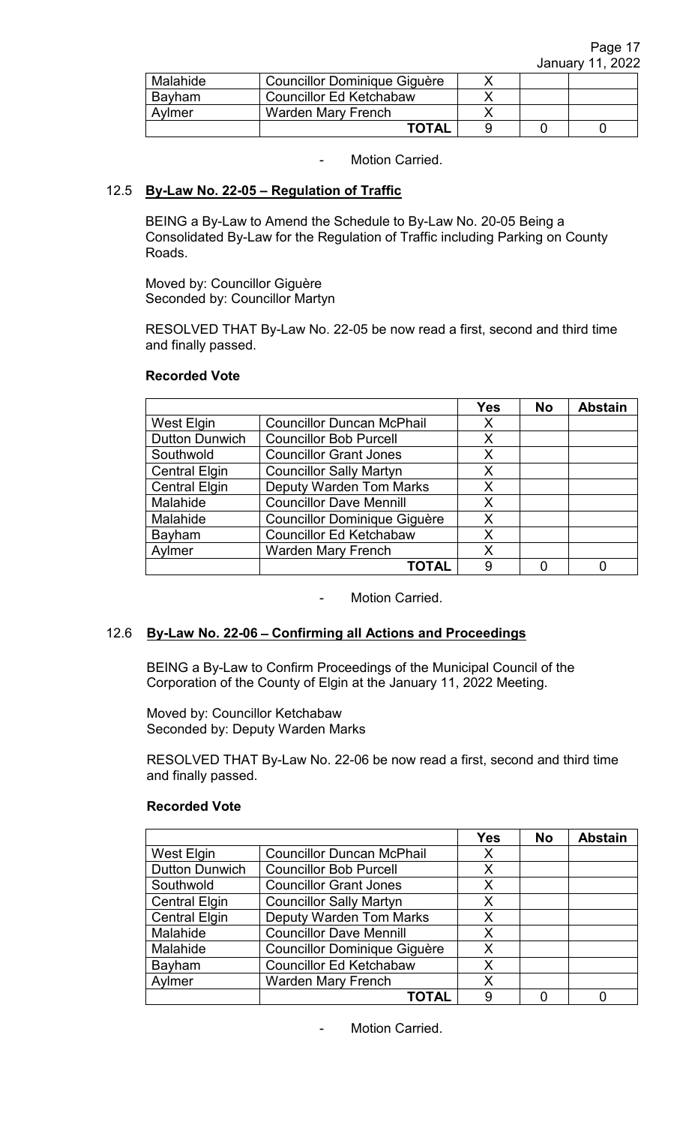| Malahide | Councillor Dominique Giguère   |  |  |
|----------|--------------------------------|--|--|
| Bayham   | <b>Councillor Ed Ketchabaw</b> |  |  |
| Avlmer   | Warden Mary French             |  |  |
|          | <b>TOTAL</b>                   |  |  |

# 12.5 **By-Law No. 22-05 – Regulation of Traffic**

BEING a By-Law to Amend the Schedule to By-Law No. 20-05 Being a Consolidated By-Law for the Regulation of Traffic including Parking on County Roads.

Moved by: Councillor Giguère Seconded by: Councillor Martyn

RESOLVED THAT By-Law No. 22-05 be now read a first, second and third time and finally passed.

|                       |                                     | <b>Yes</b> | <b>No</b> | <b>Abstain</b> |
|-----------------------|-------------------------------------|------------|-----------|----------------|
| West Elgin            | <b>Councillor Duncan McPhail</b>    | Х          |           |                |
| <b>Dutton Dunwich</b> | <b>Councillor Bob Purcell</b>       | X          |           |                |
| Southwold             | <b>Councillor Grant Jones</b>       | X          |           |                |
| <b>Central Elgin</b>  | <b>Councillor Sally Martyn</b>      | Χ          |           |                |
| <b>Central Elgin</b>  | <b>Deputy Warden Tom Marks</b>      | X          |           |                |
| Malahide              | <b>Councillor Dave Mennill</b>      | X          |           |                |
| Malahide              | <b>Councillor Dominique Giguère</b> | X          |           |                |
| Bayham                | <b>Councillor Ed Ketchabaw</b>      | Χ          |           |                |
| Aylmer                | <b>Warden Mary French</b>           | Χ          |           |                |
|                       | <b>TOTAL</b>                        | 9          |           |                |

Motion Carried.

## 12.6 **By-Law No. 22-06** – **Confirming all Actions and Proceedings**

BEING a By-Law to Confirm Proceedings of the Municipal Council of the Corporation of the County of Elgin at the January 11, 2022 Meeting.

Moved by: Councillor Ketchabaw Seconded by: Deputy Warden Marks

RESOLVED THAT By-Law No. 22-06 be now read a first, second and third time and finally passed.

|                       |                                     | <b>Yes</b> | <b>No</b> | <b>Abstain</b> |
|-----------------------|-------------------------------------|------------|-----------|----------------|
| West Elgin            | <b>Councillor Duncan McPhail</b>    | X          |           |                |
| <b>Dutton Dunwich</b> | <b>Councillor Bob Purcell</b>       | Х          |           |                |
| Southwold             | <b>Councillor Grant Jones</b>       | Χ          |           |                |
| <b>Central Elgin</b>  | <b>Councillor Sally Martyn</b>      | Χ          |           |                |
| <b>Central Elgin</b>  | <b>Deputy Warden Tom Marks</b>      | Χ          |           |                |
| Malahide              | <b>Councillor Dave Mennill</b>      | Х          |           |                |
| Malahide              | <b>Councillor Dominique Giguère</b> | Χ          |           |                |
| Bayham                | <b>Councillor Ed Ketchabaw</b>      | Χ          |           |                |
| Aylmer                | <b>Warden Mary French</b>           | Χ          |           |                |
|                       | <b>TOTAL</b>                        | 9          |           |                |